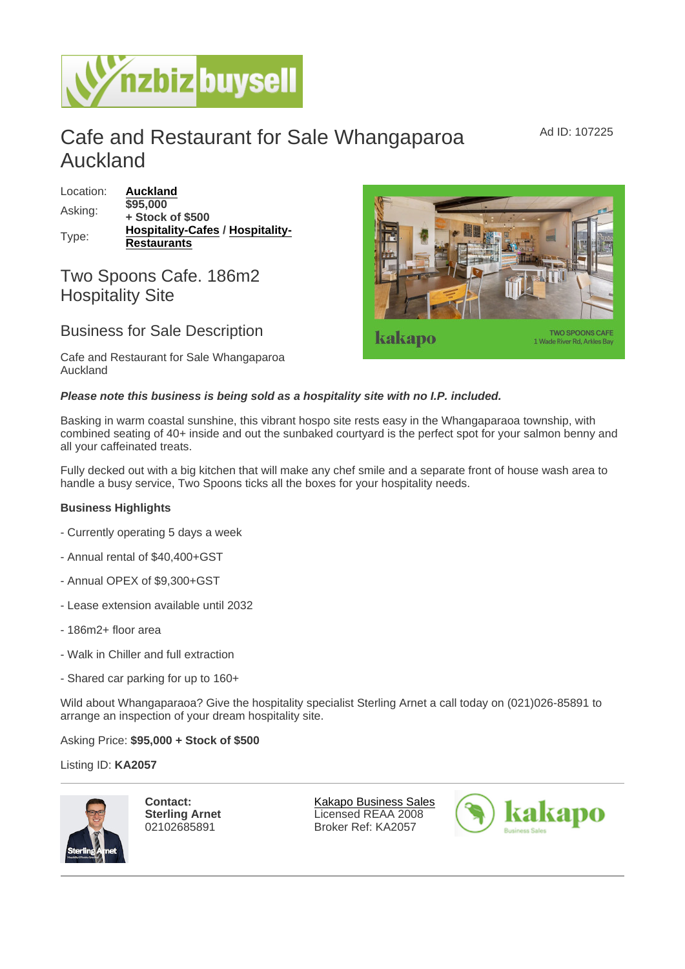## Cafe and Restaurant for Sale Whangaparoa Auckland

| Location: | Auckland                         |  |
|-----------|----------------------------------|--|
| Asking:   | \$95,000                         |  |
|           | + Stock of \$500                 |  |
| Type:     | Hospitality-Cafes / Hospitality- |  |
|           | Restaurants                      |  |

## Two Spoons Cafe. 186m2 Hospitality Site

## Business for Sale Description

Cafe and Restaurant for Sale Whangaparoa Auckland

Please note this business is being sold as a hospitality site with no I.P. included.

Basking in warm coastal sunshine, this vibrant hospo site rests easy in the Whangaparaoa township, with combined seating of 40+ inside and out the sunbaked courtyard is the perfect spot for your salmon benny and all your caffeinated treats.

Fully decked out with a big kitchen that will make any chef smile and a separate front of house wash area to handle a busy service, Two Spoons ticks all the boxes for your hospitality needs.

Business Highlights

- Currently operating 5 days a week
- Annual rental of \$40,400+GST
- Annual OPEX of \$9,300+GST
- Lease extension available until 2032
- 186m2+ floor area
- Walk in Chiller and full extraction
- Shared car parking for up to 160+

Wild about Whangaparaoa? Give the hospitality specialist Sterling Arnet a call today on (021)026-85891 to arrange an inspection of your dream hospitality site.

Asking Price: \$95,000 + Stock of \$500

Listing ID: KA2057

Contact: Sterling Arnet 02102685891

[Kakapo Business Sales](https://www.nzbizbuysell.co.nz/business-brokers/216/kakapo-business-sales/brokerage-listings) Licensed REAA 2008 Broker Ref: KA2057